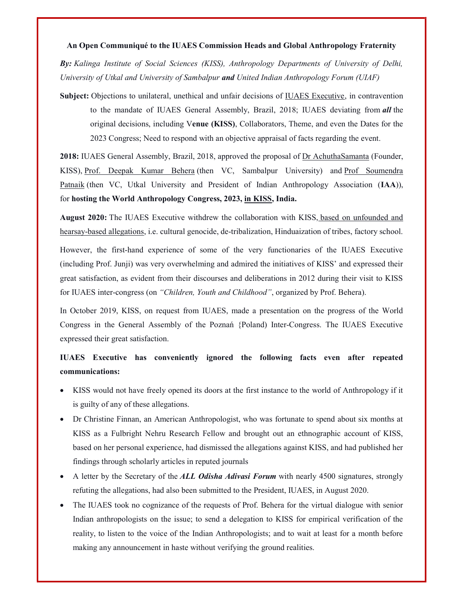## An Open Communiqué to the IUAES Commission Heads and Global Anthropology Fraternity

By: Kalinga Institute of Social Sciences (KISS), Anthropology Departments of University of Delhi, University of Utkal and University of Sambalpur and United Indian Anthropology Forum (UIAF)

Subject: Objections to unilateral, unethical and unfair decisions of IUAES Executive, in contravention to the mandate of IUAES General Assembly, Brazil, 2018; IUAES deviating from all the original decisions, including Venue (KISS), Collaborators, Theme, and even the Dates for the 2023 Congress; Need to respond with an objective appraisal of facts regarding the event.

2018: IUAES General Assembly, Brazil, 2018, approved the proposal of Dr AchuthaSamanta (Founder, KISS), Prof. Deepak Kumar Behera (then VC, Sambalpur University) and Prof Soumendra Patnaik (then VC, Utkal University and President of Indian Anthropology Association (IAA)), for hosting the World Anthropology Congress, 2023, in KISS, India.

August 2020: The IUAES Executive withdrew the collaboration with KISS, based on unfounded and hearsay-based allegations, i.e. cultural genocide, de-tribalization, Hinduaization of tribes, factory school.

However, the first-hand experience of some of the very functionaries of the IUAES Executive (including Prof. Junji) was very overwhelming and admired the initiatives of KISS' and expressed their great satisfaction, as evident from their discourses and deliberations in 2012 during their visit to KISS for IUAES inter-congress (on "Children, Youth and Childhood", organized by Prof. Behera).

In October 2019, KISS, on request from IUAES, made a presentation on the progress of the World Congress in the General Assembly of the Poznań {Poland) Inter-Congress. The IUAES Executive expressed their great satisfaction.

## IUAES Executive has conveniently ignored the following facts even after repeated communications:

- KISS would not have freely opened its doors at the first instance to the world of Anthropology if it is guilty of any of these allegations.
- Dr Christine Finnan, an American Anthropologist, who was fortunate to spend about six months at KISS as a Fulbright Nehru Research Fellow and brought out an ethnographic account of KISS, based on her personal experience, had dismissed the allegations against KISS, and had published her findings through scholarly articles in reputed journals
- $\bullet$  A letter by the Secretary of the ALL Odisha Adivasi Forum with nearly 4500 signatures, strongly refuting the allegations, had also been submitted to the President, IUAES, in August 2020.
- The IUAES took no cognizance of the requests of Prof. Behera for the virtual dialogue with senior Indian anthropologists on the issue; to send a delegation to KISS for empirical verification of the reality, to listen to the voice of the Indian Anthropologists; and to wait at least for a month before making any announcement in haste without verifying the ground realities.